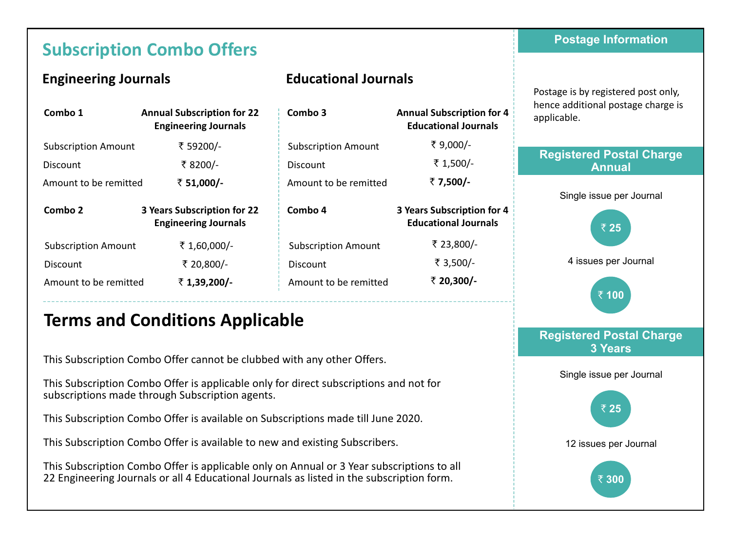# **Subscription Combo Offers**

### **Engineering Journals**

### **Educational Journals**

Subscription Amount

` **51,000/-** Amount to be remitted

Subscription Amount

` **1,39,200/-** Amount to be remitted

**Combo 3** 

Discount

| Combo 1                    | <b>Annual Subscription for 22</b><br><b>Engineering Journals</b> | Combo 3   |
|----------------------------|------------------------------------------------------------------|-----------|
| <b>Subscription Amount</b> | ₹ 59200/-                                                        | Subscript |
| Discount                   | ₹ 8200/-                                                         | Discount  |
| Amount to be remitted      | ₹ 51,000/-                                                       | Amount 1  |
|                            |                                                                  |           |
| Combo 2                    | 3 Years Subscription for 22<br><b>Engineering Journals</b>       | Combo 4   |
| <b>Subscription Amount</b> | ₹ 1,60,000/-                                                     | Subscrip  |
| Discount                   | ₹ 20,800/-                                                       | Discount  |
| Amount to be remitted      | ₹ 1,39,200/-                                                     | Amount:   |

#### ₹ 9.000/-**Annual Subscription for 4 Educational Journals**

 $\bar{x}$  1.500/-` **7,500/-**

₹ 23,800/-` 3,500/- ` **20,300/-**

**3 Years Subscription for 4 Educational Journals**

#### Postage is by registered post only, hence additional postage charge is applicable.

**Postage Information**

#### **Registered Postal Charge Annual**



#### 4 issues per Journal



#### **Registered Postal Charge 3 Years**

Single issue per Journal



# **Terms and Conditions Applicable**

This Subscription Combo Offer cannot be clubbed with any other Offers.

This Subscription Combo Offer is applicable only for direct subscriptions and not for subscriptions made through Subscription agents.

This Subscription Combo Offer is available on Subscriptions made till June 2020.

This Subscription Combo Offer is available to new and existing Subscribers.

This Subscription Combo Offer is applicable only on Annual or 3 Year subscriptions to all 22 Engineering Journals or all 4 Educational Journals as listed in the subscription form.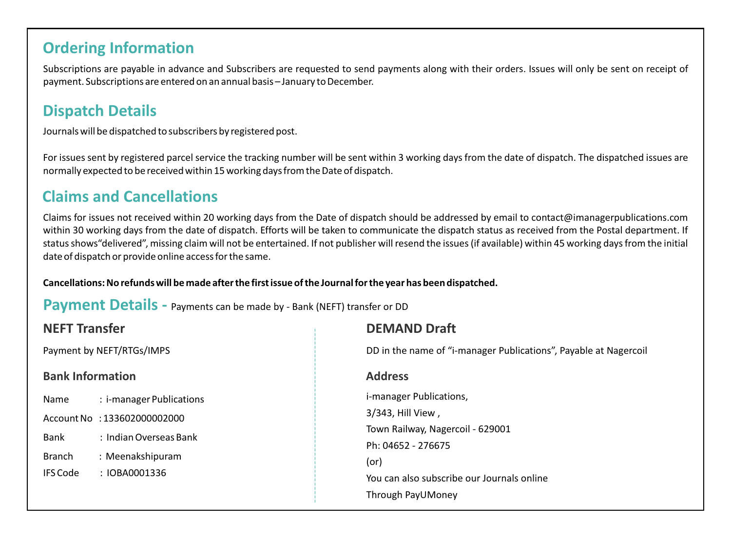### **Ordering Information**

Subscriptions are payable in advance and Subscribers are requested to send payments along with their orders. Issues will only be sent on receipt of payment. Subscriptions are entered on an annual basis – January to December.

## **Dispatch Details**

Journals will be dispatched to subscribers by registered post.

For issues sent by registered parcel service the tracking number will be sent within 3 working days from the date of dispatch. The dispatched issues are normally expected to be received within 15 working days from the Date of dispatch.

## **Claims and Cancellations**

Claims for issues not received within 20 working days from the Date of dispatch should be addressed by email to contact@imanagerpublications.com within 30 working days from the date of dispatch. Efforts will be taken to communicate the dispatch status as received from the Postal department. If status shows"delivered", missing claim will not be entertained. If not publisher will resend the issues (if available) within 45 working days from the initial date of dispatch or provide online access for the same.

**Cancellations: No refunds will be made after the first issue of the Journal for the year has been dispatched.** 

**Payment Details - Payments can be made by - Bank (NEFT) transfer or DD** 

| <b>NEFT Transfer</b>              | <b>DEMAND Draft</b>                                              |  |  |  |  |  |
|-----------------------------------|------------------------------------------------------------------|--|--|--|--|--|
| Payment by NEFT/RTGs/IMPS         | DD in the name of "i-manager Publications", Payable at Nagercoil |  |  |  |  |  |
| <b>Bank Information</b>           | <b>Address</b>                                                   |  |  |  |  |  |
| : i-manager Publications<br>Name  | <i>i-manager Publications,</i>                                   |  |  |  |  |  |
| Account No : 133602000002000      | 3/343, Hill View,                                                |  |  |  |  |  |
| : Indian Overseas Bank<br>Bank    | Town Railway, Nagercoil - 629001<br>Ph: 04652 - 276675           |  |  |  |  |  |
| <b>Branch</b><br>: Meenakshipuram | $($ or $)$                                                       |  |  |  |  |  |
| <b>IFS Code</b><br>: IOBA0001336  | You can also subscribe our Journals online                       |  |  |  |  |  |
|                                   | Through PayUMoney                                                |  |  |  |  |  |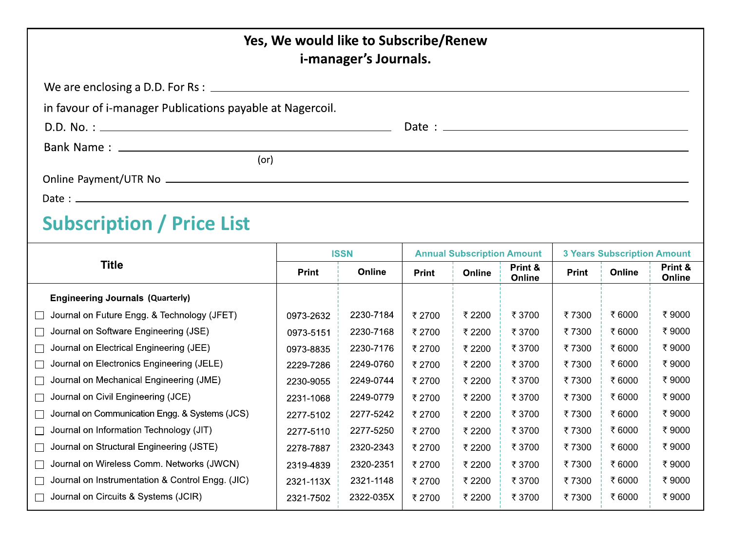|                                                           |             | Yes, We would like to Subscribe/Renew<br>i-manager's Journals. |                                   |        |                                    |              |        |                   |
|-----------------------------------------------------------|-------------|----------------------------------------------------------------|-----------------------------------|--------|------------------------------------|--------------|--------|-------------------|
|                                                           |             |                                                                |                                   |        |                                    |              |        |                   |
| in favour of i-manager Publications payable at Nagercoil. |             |                                                                |                                   |        |                                    |              |        |                   |
|                                                           |             |                                                                |                                   |        |                                    |              |        |                   |
|                                                           |             |                                                                |                                   |        |                                    |              |        |                   |
| (or)                                                      |             |                                                                |                                   |        |                                    |              |        |                   |
|                                                           |             |                                                                |                                   |        |                                    |              |        |                   |
|                                                           |             |                                                                |                                   |        |                                    |              |        |                   |
| <b>Subscription / Price List</b>                          |             |                                                                |                                   |        |                                    |              |        |                   |
| <b>Title</b>                                              | <b>ISSN</b> |                                                                | <b>Annual Subscription Amount</b> |        | <b>3 Years Subscription Amount</b> |              |        |                   |
|                                                           | Print       | Online                                                         | Print                             | Online | Print &<br>Online                  | <b>Print</b> | Online | Print &<br>Online |
| <b>Engineering Journals (Quarterly)</b>                   |             |                                                                |                                   |        |                                    |              |        |                   |
| Journal on Future Engg. & Technology (JFET)<br>$\Box$     | 0973-2632   | 2230-7184                                                      | ₹2700                             | ₹ 2200 | ₹ 3700                             | ₹7300        | ₹6000  | ₹9000             |
| Journal on Software Engineering (JSE)<br>П                | 0973-5151   | 2230-7168                                                      | ₹2700                             | ₹ 2200 | ₹ 3700                             | ₹7300        | ₹6000  | ₹9000             |
| Journal on Electrical Engineering (JEE)<br>□              | 0973-8835   | 2230-7176                                                      | ₹2700                             | ₹ 2200 | ₹ 3700                             | ₹7300        | ₹6000  | ₹9000             |
| Journal on Electronics Engineering (JELE)<br>$\Box$       | 2229-7286   | 2249-0760                                                      | ₹ 2700                            | ₹ 2200 | ₹ 3700                             | ₹7300        | ₹6000  | ₹9000             |
| Journal on Mechanical Engineering (JME)<br>П              | 2230-9055   | 2249-0744                                                      | ₹ 2700                            | ₹ 2200 | ₹ 3700                             | ₹7300        | ₹ 6000 | ₹9000             |
| Journal on Civil Engineering (JCE)<br>$\perp$             | 2231-1068   | 2249-0779                                                      | ₹2700                             | ₹ 2200 | ₹ 3700                             | ₹7300        | ₹6000  | ₹9000             |
| Journal on Communication Engg. & Systems (JCS)<br>ப       | 2277-5102   | 2277-5242                                                      | ₹2700                             | ₹ 2200 | ₹ 3700                             | ₹7300        | ₹6000  | ₹9000             |
| Journal on Information Technology (JIT)<br>ப              | 2277-5110   | 2277-5250                                                      | ₹ 2700                            | ₹ 2200 | ₹ 3700                             | ₹7300        | ₹6000  | ₹9000             |
| Journal on Structural Engineering (JSTE)<br>ப             | 2278-7887   | 2320-2343                                                      | ₹2700                             | ₹ 2200 | ₹ 3700                             | ₹7300        | ₹6000  | ₹9000             |
| Journal on Wireless Comm. Networks (JWCN)<br>$\mathsf{L}$ | 2319-4839   | 2320-2351                                                      | ₹2700                             | ₹ 2200 | ₹ 3700                             | ₹7300        | ₹6000  | ₹9000             |
| Journal on Instrumentation & Control Engg. (JIC)<br>П     | 2321-113X   | 2321-1148                                                      | ₹2700                             | ₹ 2200 | ₹ 3700                             | ₹7300        | ₹6000  | ₹9000             |
| Journal on Circuits & Systems (JCIR)                      | 2321-7502   | 2322-035X                                                      | ₹2700                             | ₹ 2200 | ₹ 3700                             | ₹7300        | ₹ 6000 | ₹9000             |